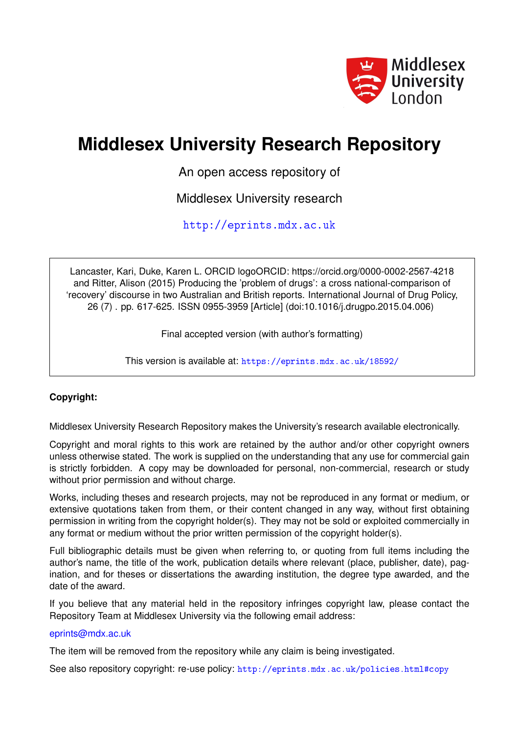

# **Middlesex University Research Repository**

An open access repository of

Middlesex University research

<http://eprints.mdx.ac.uk>

Lancaster, Kari, Duke, Karen L. ORCID logoORCID: https://orcid.org/0000-0002-2567-4218 and Ritter, Alison (2015) Producing the 'problem of drugs': a cross national-comparison of 'recovery' discourse in two Australian and British reports. International Journal of Drug Policy, 26 (7) . pp. 617-625. ISSN 0955-3959 [Article] (doi:10.1016/j.drugpo.2015.04.006)

Final accepted version (with author's formatting)

This version is available at: <https://eprints.mdx.ac.uk/18592/>

## **Copyright:**

Middlesex University Research Repository makes the University's research available electronically.

Copyright and moral rights to this work are retained by the author and/or other copyright owners unless otherwise stated. The work is supplied on the understanding that any use for commercial gain is strictly forbidden. A copy may be downloaded for personal, non-commercial, research or study without prior permission and without charge.

Works, including theses and research projects, may not be reproduced in any format or medium, or extensive quotations taken from them, or their content changed in any way, without first obtaining permission in writing from the copyright holder(s). They may not be sold or exploited commercially in any format or medium without the prior written permission of the copyright holder(s).

Full bibliographic details must be given when referring to, or quoting from full items including the author's name, the title of the work, publication details where relevant (place, publisher, date), pagination, and for theses or dissertations the awarding institution, the degree type awarded, and the date of the award.

If you believe that any material held in the repository infringes copyright law, please contact the Repository Team at Middlesex University via the following email address:

## [eprints@mdx.ac.uk](mailto:eprints@mdx.ac.uk)

The item will be removed from the repository while any claim is being investigated.

See also repository copyright: re-use policy: <http://eprints.mdx.ac.uk/policies.html#copy>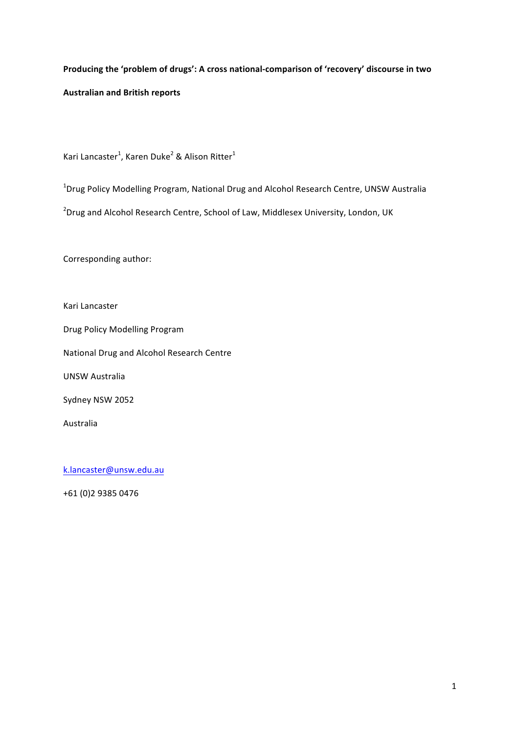## Producing the 'problem of drugs': A cross national-comparison of 'recovery' discourse in two **Australian and British reports**

Kari Lancaster<sup>1</sup>, Karen Duke<sup>2</sup> & Alison Ritter<sup>1</sup>

<sup>1</sup>Drug Policy Modelling Program, National Drug and Alcohol Research Centre, UNSW Australia

 $^{2}$ Drug and Alcohol Research Centre, School of Law, Middlesex University, London, UK

Corresponding author:

Kari Lancaster

Drug Policy Modelling Program

National Drug and Alcohol Research Centre

UNSW Australia

Sydney NSW 2052

Australia

k.lancaster@unsw.edu.au

+61 (0)2 9385 0476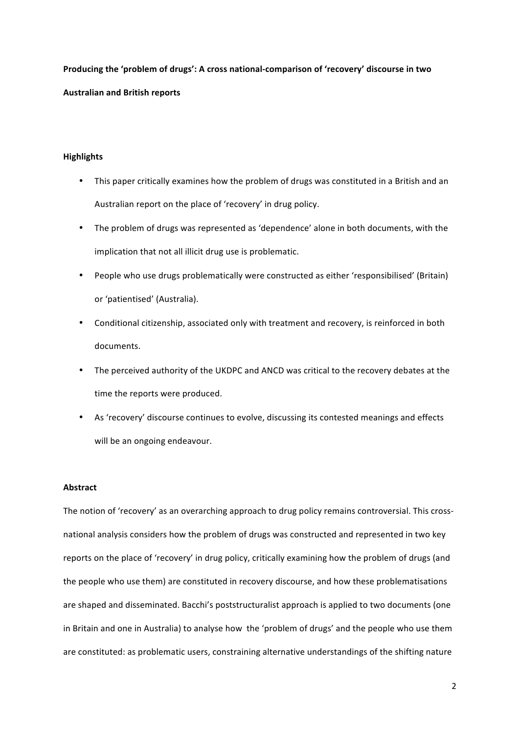Producing the 'problem of drugs': A cross national-comparison of 'recovery' discourse in two **Australian and British reports**

## **Highlights**

- This paper critically examines how the problem of drugs was constituted in a British and an Australian report on the place of 'recovery' in drug policy.
- The problem of drugs was represented as 'dependence' alone in both documents, with the implication that not all illicit drug use is problematic.
- People who use drugs problematically were constructed as either 'responsibilised' (Britain) or 'patientised' (Australia).
- Conditional citizenship, associated only with treatment and recovery, is reinforced in both documents.
- The perceived authority of the UKDPC and ANCD was critical to the recovery debates at the time the reports were produced.
- As 'recovery' discourse continues to evolve, discussing its contested meanings and effects will be an ongoing endeavour.

### **Abstract**

The notion of 'recovery' as an overarching approach to drug policy remains controversial. This crossnational analysis considers how the problem of drugs was constructed and represented in two key reports on the place of 'recovery' in drug policy, critically examining how the problem of drugs (and the people who use them) are constituted in recovery discourse, and how these problematisations are shaped and disseminated. Bacchi's poststructuralist approach is applied to two documents (one in Britain and one in Australia) to analyse how the 'problem of drugs' and the people who use them are constituted: as problematic users, constraining alternative understandings of the shifting nature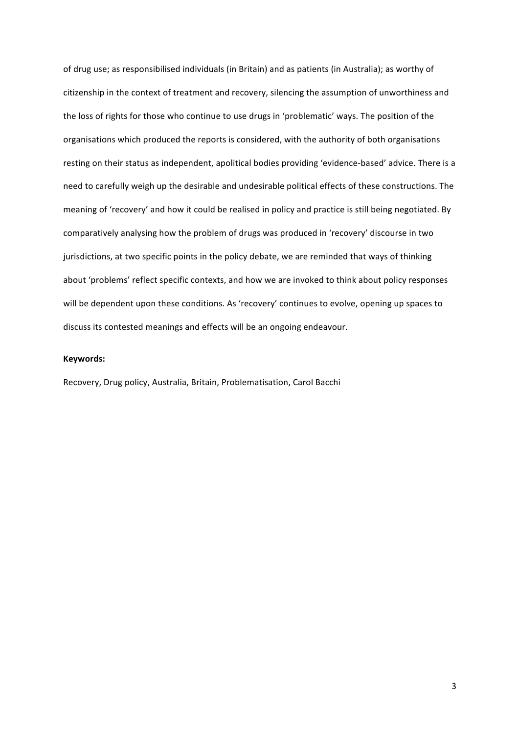of drug use; as responsibilised individuals (in Britain) and as patients (in Australia); as worthy of citizenship in the context of treatment and recovery, silencing the assumption of unworthiness and the loss of rights for those who continue to use drugs in 'problematic' ways. The position of the organisations which produced the reports is considered, with the authority of both organisations resting on their status as independent, apolitical bodies providing 'evidence-based' advice. There is a need to carefully weigh up the desirable and undesirable political effects of these constructions. The meaning of 'recovery' and how it could be realised in policy and practice is still being negotiated. By comparatively analysing how the problem of drugs was produced in 'recovery' discourse in two jurisdictions, at two specific points in the policy debate, we are reminded that ways of thinking about 'problems' reflect specific contexts, and how we are invoked to think about policy responses will be dependent upon these conditions. As 'recovery' continues to evolve, opening up spaces to discuss its contested meanings and effects will be an ongoing endeavour.

#### **Keywords:**

Recovery, Drug policy, Australia, Britain, Problematisation, Carol Bacchi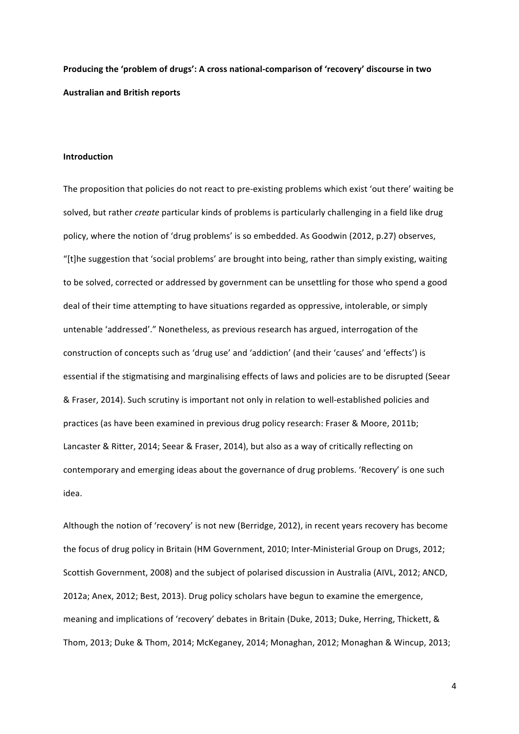## Producing the 'problem of drugs': A cross national-comparison of 'recovery' discourse in two **Australian and British reports**

#### **Introduction**

The proposition that policies do not react to pre-existing problems which exist 'out there' waiting be solved, but rather *create* particular kinds of problems is particularly challenging in a field like drug policy, where the notion of 'drug problems' is so embedded. As Goodwin (2012, p.27) observes, "[t]he suggestion that 'social problems' are brought into being, rather than simply existing, waiting to be solved, corrected or addressed by government can be unsettling for those who spend a good deal of their time attempting to have situations regarded as oppressive, intolerable, or simply untenable 'addressed'." Nonetheless, as previous research has argued, interrogation of the construction of concepts such as 'drug use' and 'addiction' (and their 'causes' and 'effects') is essential if the stigmatising and marginalising effects of laws and policies are to be disrupted (Seear & Fraser, 2014). Such scrutiny is important not only in relation to well-established policies and practices (as have been examined in previous drug policy research: Fraser & Moore, 2011b; Lancaster & Ritter, 2014; Seear & Fraser, 2014), but also as a way of critically reflecting on contemporary and emerging ideas about the governance of drug problems. 'Recovery' is one such idea. 

Although the notion of 'recovery' is not new (Berridge, 2012), in recent years recovery has become the focus of drug policy in Britain (HM Government, 2010; Inter-Ministerial Group on Drugs, 2012; Scottish Government, 2008) and the subject of polarised discussion in Australia (AIVL, 2012; ANCD, 2012a; Anex, 2012; Best, 2013). Drug policy scholars have begun to examine the emergence, meaning and implications of 'recovery' debates in Britain (Duke, 2013; Duke, Herring, Thickett, & Thom, 2013; Duke & Thom, 2014; McKeganey, 2014; Monaghan, 2012; Monaghan & Wincup, 2013;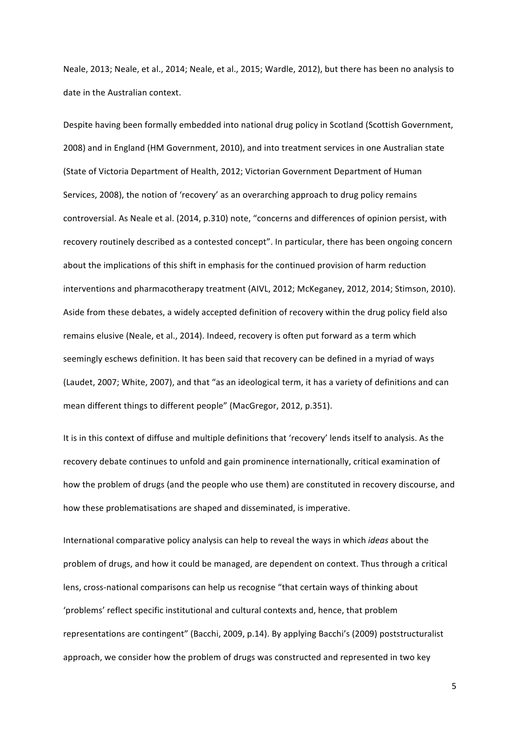Neale, 2013; Neale, et al., 2014; Neale, et al., 2015; Wardle, 2012), but there has been no analysis to date in the Australian context.

Despite having been formally embedded into national drug policy in Scotland (Scottish Government, 2008) and in England (HM Government, 2010), and into treatment services in one Australian state (State of Victoria Department of Health, 2012; Victorian Government Department of Human Services, 2008), the notion of 'recovery' as an overarching approach to drug policy remains controversial. As Neale et al. (2014, p.310) note, "concerns and differences of opinion persist, with recovery routinely described as a contested concept". In particular, there has been ongoing concern about the implications of this shift in emphasis for the continued provision of harm reduction interventions and pharmacotherapy treatment (AIVL, 2012; McKeganey, 2012, 2014; Stimson, 2010). Aside from these debates, a widely accepted definition of recovery within the drug policy field also remains elusive (Neale, et al., 2014). Indeed, recovery is often put forward as a term which seemingly eschews definition. It has been said that recovery can be defined in a myriad of ways (Laudet, 2007; White, 2007), and that "as an ideological term, it has a variety of definitions and can mean different things to different people" (MacGregor, 2012, p.351).

It is in this context of diffuse and multiple definitions that 'recovery' lends itself to analysis. As the recovery debate continues to unfold and gain prominence internationally, critical examination of how the problem of drugs (and the people who use them) are constituted in recovery discourse, and how these problematisations are shaped and disseminated, is imperative.

International comparative policy analysis can help to reveal the ways in which *ideas* about the problem of drugs, and how it could be managed, are dependent on context. Thus through a critical lens, cross-national comparisons can help us recognise "that certain ways of thinking about 'problems' reflect specific institutional and cultural contexts and, hence, that problem representations are contingent" (Bacchi, 2009, p.14). By applying Bacchi's (2009) poststructuralist approach, we consider how the problem of drugs was constructed and represented in two key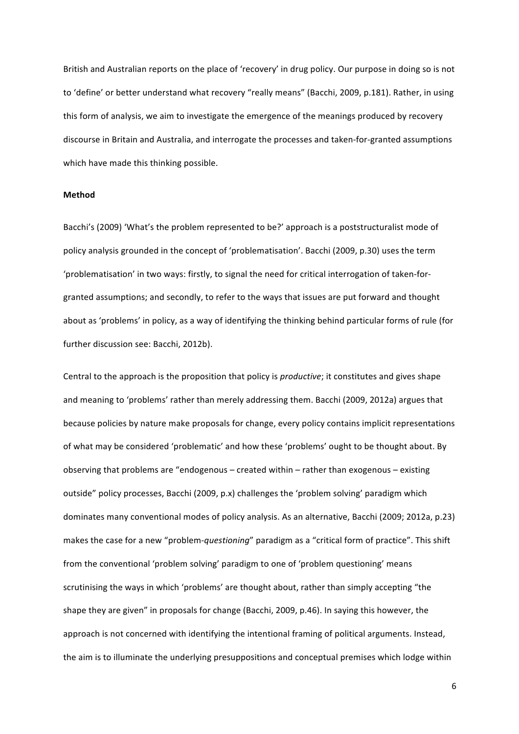British and Australian reports on the place of 'recovery' in drug policy. Our purpose in doing so is not to 'define' or better understand what recovery "really means" (Bacchi, 2009, p.181). Rather, in using this form of analysis, we aim to investigate the emergence of the meanings produced by recovery discourse in Britain and Australia, and interrogate the processes and taken-for-granted assumptions which have made this thinking possible.

#### **Method**

Bacchi's (2009) 'What's the problem represented to be?' approach is a poststructuralist mode of policy analysis grounded in the concept of 'problematisation'. Bacchi (2009, p.30) uses the term 'problematisation' in two ways: firstly, to signal the need for critical interrogation of taken-forgranted assumptions; and secondly, to refer to the ways that issues are put forward and thought about as 'problems' in policy, as a way of identifying the thinking behind particular forms of rule (for further discussion see: Bacchi, 2012b).

Central to the approach is the proposition that policy is *productive*; it constitutes and gives shape and meaning to 'problems' rather than merely addressing them. Bacchi (2009, 2012a) argues that because policies by nature make proposals for change, every policy contains implicit representations of what may be considered 'problematic' and how these 'problems' ought to be thought about. By observing that problems are "endogenous – created within – rather than exogenous – existing outside" policy processes, Bacchi (2009, p.x) challenges the 'problem solving' paradigm which dominates many conventional modes of policy analysis. As an alternative, Bacchi (2009; 2012a, p.23) makes the case for a new "problem-*questioning*" paradigm as a "critical form of practice". This shift from the conventional 'problem solving' paradigm to one of 'problem questioning' means scrutinising the ways in which 'problems' are thought about, rather than simply accepting "the shape they are given" in proposals for change (Bacchi, 2009, p.46). In saying this however, the approach is not concerned with identifying the intentional framing of political arguments. Instead, the aim is to illuminate the underlying presuppositions and conceptual premises which lodge within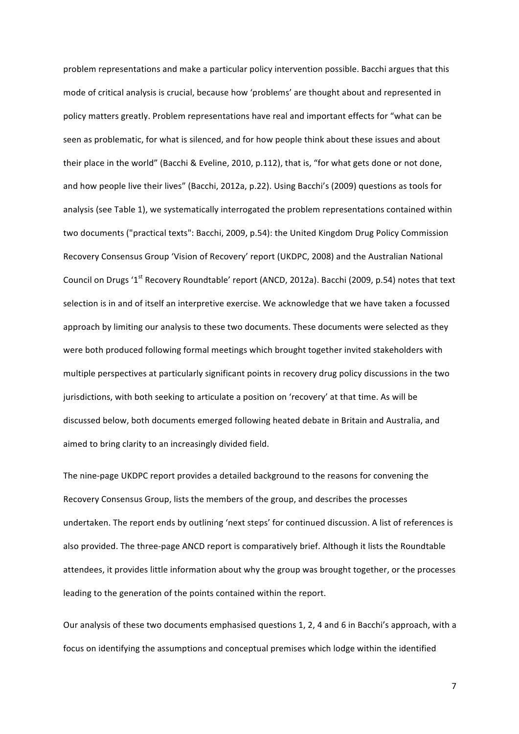problem representations and make a particular policy intervention possible. Bacchi argues that this mode of critical analysis is crucial, because how 'problems' are thought about and represented in policy matters greatly. Problem representations have real and important effects for "what can be seen as problematic, for what is silenced, and for how people think about these issues and about their place in the world" (Bacchi & Eveline, 2010, p.112), that is, "for what gets done or not done, and how people live their lives" (Bacchi, 2012a, p.22). Using Bacchi's (2009) questions as tools for analysis (see Table 1), we systematically interrogated the problem representations contained within two documents ("practical texts": Bacchi, 2009, p.54): the United Kingdom Drug Policy Commission Recovery Consensus Group 'Vision of Recovery' report (UKDPC, 2008) and the Australian National Council on Drugs '1<sup>st</sup> Recovery Roundtable' report (ANCD, 2012a). Bacchi (2009, p.54) notes that text selection is in and of itself an interpretive exercise. We acknowledge that we have taken a focussed approach by limiting our analysis to these two documents. These documents were selected as they were both produced following formal meetings which brought together invited stakeholders with multiple perspectives at particularly significant points in recovery drug policy discussions in the two jurisdictions, with both seeking to articulate a position on 'recovery' at that time. As will be discussed below, both documents emerged following heated debate in Britain and Australia, and aimed to bring clarity to an increasingly divided field.

The nine-page UKDPC report provides a detailed background to the reasons for convening the Recovery Consensus Group, lists the members of the group, and describes the processes undertaken. The report ends by outlining 'next steps' for continued discussion. A list of references is also provided. The three-page ANCD report is comparatively brief. Although it lists the Roundtable attendees, it provides little information about why the group was brought together, or the processes leading to the generation of the points contained within the report.

Our analysis of these two documents emphasised questions 1, 2, 4 and 6 in Bacchi's approach, with a focus on identifying the assumptions and conceptual premises which lodge within the identified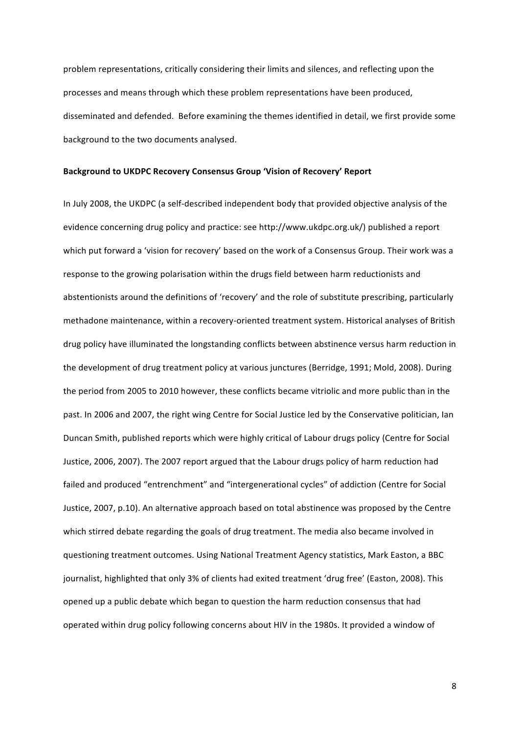problem representations, critically considering their limits and silences, and reflecting upon the processes and means through which these problem representations have been produced, disseminated and defended. Before examining the themes identified in detail, we first provide some background to the two documents analysed.

#### **Background to UKDPC Recovery Consensus Group 'Vision of Recovery' Report**

In July 2008, the UKDPC (a self-described independent body that provided objective analysis of the evidence concerning drug policy and practice: see http://www.ukdpc.org.uk/) published a report which put forward a 'vision for recovery' based on the work of a Consensus Group. Their work was a response to the growing polarisation within the drugs field between harm reductionists and abstentionists around the definitions of 'recovery' and the role of substitute prescribing, particularly methadone maintenance, within a recovery-oriented treatment system. Historical analyses of British drug policy have illuminated the longstanding conflicts between abstinence versus harm reduction in the development of drug treatment policy at various junctures (Berridge, 1991; Mold, 2008). During the period from 2005 to 2010 however, these conflicts became vitriolic and more public than in the past. In 2006 and 2007, the right wing Centre for Social Justice led by the Conservative politician, Ian Duncan Smith, published reports which were highly critical of Labour drugs policy (Centre for Social Justice, 2006, 2007). The 2007 report argued that the Labour drugs policy of harm reduction had failed and produced "entrenchment" and "intergenerational cycles" of addiction (Centre for Social Justice, 2007, p.10). An alternative approach based on total abstinence was proposed by the Centre which stirred debate regarding the goals of drug treatment. The media also became involved in questioning treatment outcomes. Using National Treatment Agency statistics, Mark Easton, a BBC journalist, highlighted that only 3% of clients had exited treatment 'drug free' (Easton, 2008). This opened up a public debate which began to question the harm reduction consensus that had operated within drug policy following concerns about HIV in the 1980s. It provided a window of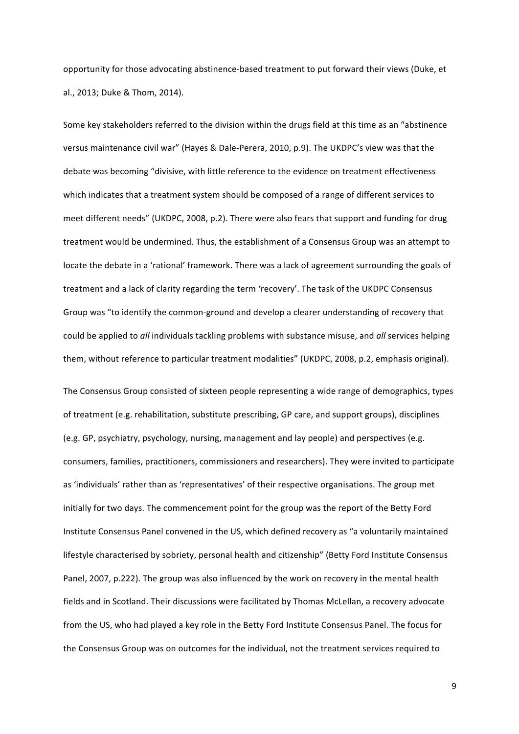opportunity for those advocating abstinence-based treatment to put forward their views (Duke, et al., 2013; Duke & Thom, 2014).

Some key stakeholders referred to the division within the drugs field at this time as an "abstinence versus maintenance civil war" (Hayes & Dale-Perera, 2010, p.9). The UKDPC's view was that the debate was becoming "divisive, with little reference to the evidence on treatment effectiveness which indicates that a treatment system should be composed of a range of different services to meet different needs" (UKDPC, 2008, p.2). There were also fears that support and funding for drug treatment would be undermined. Thus, the establishment of a Consensus Group was an attempt to locate the debate in a 'rational' framework. There was a lack of agreement surrounding the goals of treatment and a lack of clarity regarding the term 'recovery'. The task of the UKDPC Consensus Group was "to identify the common-ground and develop a clearer understanding of recovery that could be applied to all individuals tackling problems with substance misuse, and all services helping them, without reference to particular treatment modalities" (UKDPC, 2008, p.2, emphasis original).

The Consensus Group consisted of sixteen people representing a wide range of demographics, types of treatment (e.g. rehabilitation, substitute prescribing, GP care, and support groups), disciplines (e.g. GP, psychiatry, psychology, nursing, management and lay people) and perspectives (e.g. consumers, families, practitioners, commissioners and researchers). They were invited to participate as 'individuals' rather than as 'representatives' of their respective organisations. The group met initially for two days. The commencement point for the group was the report of the Betty Ford Institute Consensus Panel convened in the US, which defined recovery as "a voluntarily maintained lifestyle characterised by sobriety, personal health and citizenship" (Betty Ford Institute Consensus Panel, 2007, p.222). The group was also influenced by the work on recovery in the mental health fields and in Scotland. Their discussions were facilitated by Thomas McLellan, a recovery advocate from the US, who had played a key role in the Betty Ford Institute Consensus Panel. The focus for the Consensus Group was on outcomes for the individual, not the treatment services required to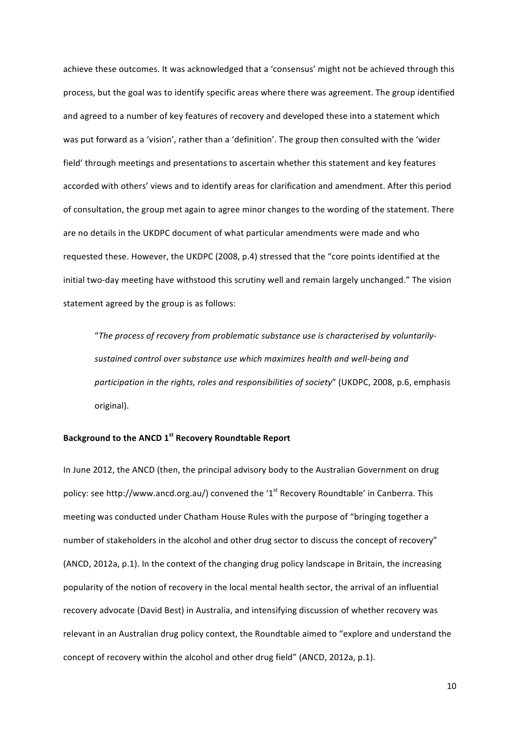achieve these outcomes. It was acknowledged that a 'consensus' might not be achieved through this process, but the goal was to identify specific areas where there was agreement. The group identified and agreed to a number of key features of recovery and developed these into a statement which was put forward as a 'vision', rather than a 'definition'. The group then consulted with the 'wider field' through meetings and presentations to ascertain whether this statement and key features accorded with others' views and to identify areas for clarification and amendment. After this period of consultation, the group met again to agree minor changes to the wording of the statement. There are no details in the UKDPC document of what particular amendments were made and who requested these. However, the UKDPC (2008, p.4) stressed that the "core points identified at the initial two-day meeting have withstood this scrutiny well and remain largely unchanged." The vision statement agreed by the group is as follows:

"The process of recovery from problematic substance use is characterised by voluntarilysustained control over substance use which maximizes health and well-being and *participation in the rights, roles and responsibilities of society*" (UKDPC, 2008, p.6, emphasis original). 

## **Background to the ANCD 1st Recovery Roundtable Report**

In June 2012, the ANCD (then, the principal advisory body to the Australian Government on drug policy: see http://www.ancd.org.au/) convened the '1<sup>st</sup> Recovery Roundtable' in Canberra. This meeting was conducted under Chatham House Rules with the purpose of "bringing together a number of stakeholders in the alcohol and other drug sector to discuss the concept of recovery" (ANCD, 2012a, p.1). In the context of the changing drug policy landscape in Britain, the increasing popularity of the notion of recovery in the local mental health sector, the arrival of an influential recovery advocate (David Best) in Australia, and intensifying discussion of whether recovery was relevant in an Australian drug policy context, the Roundtable aimed to "explore and understand the concept of recovery within the alcohol and other drug field" (ANCD, 2012a, p.1).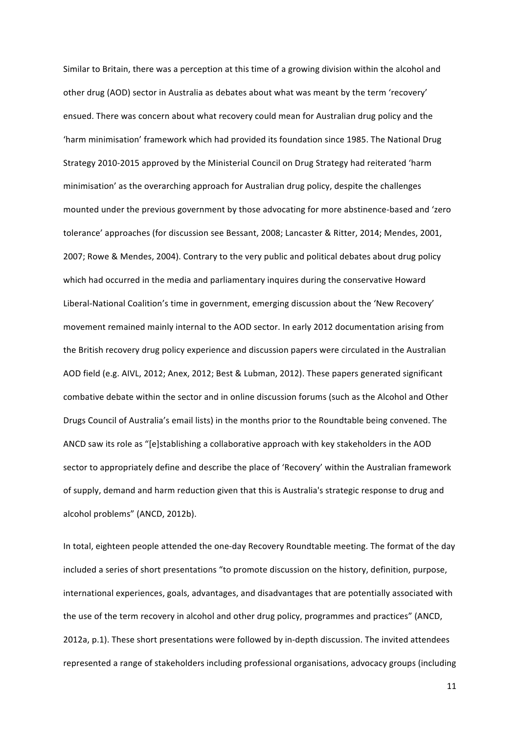Similar to Britain, there was a perception at this time of a growing division within the alcohol and other drug (AOD) sector in Australia as debates about what was meant by the term 'recovery' ensued. There was concern about what recovery could mean for Australian drug policy and the 'harm minimisation' framework which had provided its foundation since 1985. The National Drug Strategy 2010-2015 approved by the Ministerial Council on Drug Strategy had reiterated 'harm minimisation' as the overarching approach for Australian drug policy, despite the challenges mounted under the previous government by those advocating for more abstinence-based and 'zero tolerance' approaches (for discussion see Bessant, 2008; Lancaster & Ritter, 2014; Mendes, 2001, 2007; Rowe & Mendes, 2004). Contrary to the very public and political debates about drug policy which had occurred in the media and parliamentary inquires during the conservative Howard Liberal-National Coalition's time in government, emerging discussion about the 'New Recovery' movement remained mainly internal to the AOD sector. In early 2012 documentation arising from the British recovery drug policy experience and discussion papers were circulated in the Australian AOD field (e.g. AIVL, 2012; Anex, 2012; Best & Lubman, 2012). These papers generated significant combative debate within the sector and in online discussion forums (such as the Alcohol and Other Drugs Council of Australia's email lists) in the months prior to the Roundtable being convened. The ANCD saw its role as "[e]stablishing a collaborative approach with key stakeholders in the AOD sector to appropriately define and describe the place of 'Recovery' within the Australian framework of supply, demand and harm reduction given that this is Australia's strategic response to drug and alcohol problems" (ANCD, 2012b).

In total, eighteen people attended the one-day Recovery Roundtable meeting. The format of the day included a series of short presentations "to promote discussion on the history, definition, purpose, international experiences, goals, advantages, and disadvantages that are potentially associated with the use of the term recovery in alcohol and other drug policy, programmes and practices" (ANCD, 2012a, p.1). These short presentations were followed by in-depth discussion. The invited attendees represented a range of stakeholders including professional organisations, advocacy groups (including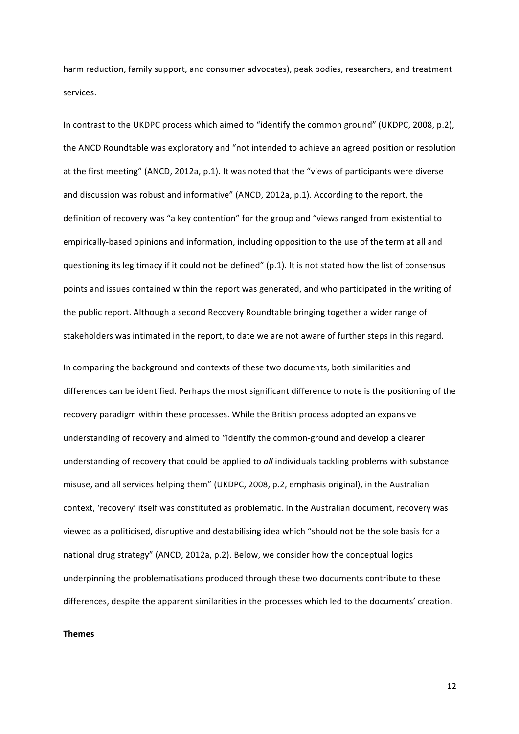harm reduction, family support, and consumer advocates), peak bodies, researchers, and treatment services. 

In contrast to the UKDPC process which aimed to "identify the common ground" (UKDPC, 2008, p.2), the ANCD Roundtable was exploratory and "not intended to achieve an agreed position or resolution at the first meeting" (ANCD, 2012a, p.1). It was noted that the "views of participants were diverse and discussion was robust and informative" (ANCD, 2012a, p.1). According to the report, the definition of recovery was "a key contention" for the group and "views ranged from existential to empirically-based opinions and information, including opposition to the use of the term at all and questioning its legitimacy if it could not be defined" (p.1). It is not stated how the list of consensus points and issues contained within the report was generated, and who participated in the writing of the public report. Although a second Recovery Roundtable bringing together a wider range of stakeholders was intimated in the report, to date we are not aware of further steps in this regard.

In comparing the background and contexts of these two documents, both similarities and differences can be identified. Perhaps the most significant difference to note is the positioning of the recovery paradigm within these processes. While the British process adopted an expansive understanding of recovery and aimed to "identify the common-ground and develop a clearer understanding of recovery that could be applied to all individuals tackling problems with substance misuse, and all services helping them" (UKDPC, 2008, p.2, emphasis original), in the Australian context, 'recovery' itself was constituted as problematic. In the Australian document, recovery was viewed as a politicised, disruptive and destabilising idea which "should not be the sole basis for a national drug strategy" (ANCD, 2012a, p.2). Below, we consider how the conceptual logics underpinning the problematisations produced through these two documents contribute to these differences, despite the apparent similarities in the processes which led to the documents' creation.

**Themes**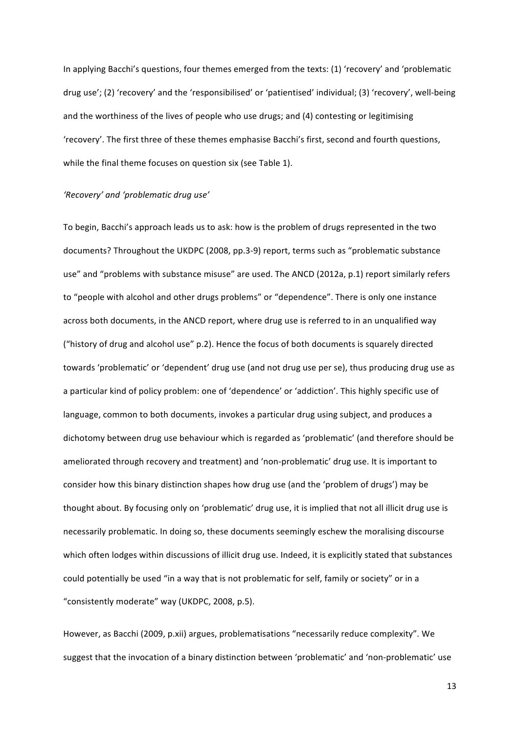In applying Bacchi's questions, four themes emerged from the texts: (1) 'recovery' and 'problematic drug use'; (2) 'recovery' and the 'responsibilised' or 'patientised' individual; (3) 'recovery', well-being and the worthiness of the lives of people who use drugs; and (4) contesting or legitimising 'recovery'. The first three of these themes emphasise Bacchi's first, second and fourth questions, while the final theme focuses on question six (see Table 1).

#### *'Recovery' and 'problematic drug use'*

To begin, Bacchi's approach leads us to ask: how is the problem of drugs represented in the two documents? Throughout the UKDPC (2008, pp.3-9) report, terms such as "problematic substance use" and "problems with substance misuse" are used. The ANCD (2012a, p.1) report similarly refers to "people with alcohol and other drugs problems" or "dependence". There is only one instance across both documents, in the ANCD report, where drug use is referred to in an unqualified way ("history of drug and alcohol use"  $p.2$ ). Hence the focus of both documents is squarely directed towards 'problematic' or 'dependent' drug use (and not drug use per se), thus producing drug use as a particular kind of policy problem: one of 'dependence' or 'addiction'. This highly specific use of language, common to both documents, invokes a particular drug using subject, and produces a dichotomy between drug use behaviour which is regarded as 'problematic' (and therefore should be ameliorated through recovery and treatment) and 'non-problematic' drug use. It is important to consider how this binary distinction shapes how drug use (and the 'problem of drugs') may be thought about. By focusing only on 'problematic' drug use, it is implied that not all illicit drug use is necessarily problematic. In doing so, these documents seemingly eschew the moralising discourse which often lodges within discussions of illicit drug use. Indeed, it is explicitly stated that substances could potentially be used "in a way that is not problematic for self, family or society" or in a "consistently moderate" way (UKDPC, 2008, p.5).

However, as Bacchi (2009, p.xii) argues, problematisations "necessarily reduce complexity". We suggest that the invocation of a binary distinction between 'problematic' and 'non-problematic' use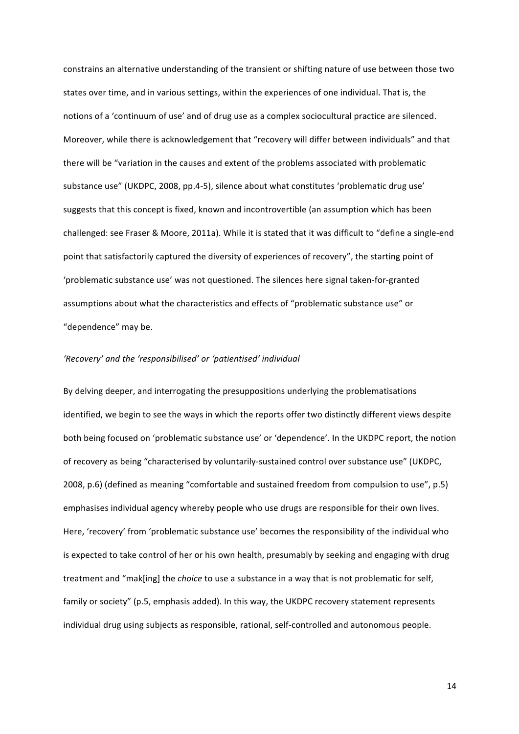constrains an alternative understanding of the transient or shifting nature of use between those two states over time, and in various settings, within the experiences of one individual. That is, the notions of a 'continuum of use' and of drug use as a complex sociocultural practice are silenced. Moreover, while there is acknowledgement that "recovery will differ between individuals" and that there will be "variation in the causes and extent of the problems associated with problematic substance use" (UKDPC, 2008, pp.4-5), silence about what constitutes 'problematic drug use' suggests that this concept is fixed, known and incontrovertible (an assumption which has been challenged: see Fraser & Moore, 2011a). While it is stated that it was difficult to "define a single-end point that satisfactorily captured the diversity of experiences of recovery", the starting point of 'problematic substance use' was not questioned. The silences here signal taken-for-granted assumptions about what the characteristics and effects of "problematic substance use" or "dependence" may be.

#### 'Recovery' and the 'responsibilised' or 'patientised' individual

By delving deeper, and interrogating the presuppositions underlying the problematisations identified, we begin to see the ways in which the reports offer two distinctly different views despite both being focused on 'problematic substance use' or 'dependence'. In the UKDPC report, the notion of recovery as being "characterised by voluntarily-sustained control over substance use" (UKDPC, 2008, p.6) (defined as meaning "comfortable and sustained freedom from compulsion to use", p.5) emphasises individual agency whereby people who use drugs are responsible for their own lives. Here, 'recovery' from 'problematic substance use' becomes the responsibility of the individual who is expected to take control of her or his own health, presumably by seeking and engaging with drug treatment and "mak[ing] the *choice* to use a substance in a way that is not problematic for self, family or society" (p.5, emphasis added). In this way, the UKDPC recovery statement represents individual drug using subjects as responsible, rational, self-controlled and autonomous people.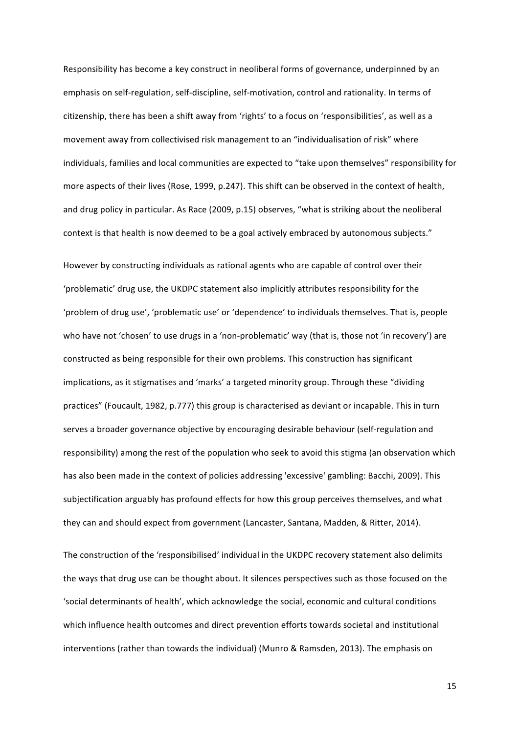Responsibility has become a key construct in neoliberal forms of governance, underpinned by an emphasis on self-regulation, self-discipline, self-motivation, control and rationality. In terms of citizenship, there has been a shift away from 'rights' to a focus on 'responsibilities', as well as a movement away from collectivised risk management to an "individualisation of risk" where individuals, families and local communities are expected to "take upon themselves" responsibility for more aspects of their lives (Rose, 1999, p.247). This shift can be observed in the context of health, and drug policy in particular. As Race  $(2009, p.15)$  observes, "what is striking about the neoliberal context is that health is now deemed to be a goal actively embraced by autonomous subjects."

However by constructing individuals as rational agents who are capable of control over their 'problematic' drug use, the UKDPC statement also implicitly attributes responsibility for the 'problem of drug use', 'problematic use' or 'dependence' to individuals themselves. That is, people who have not 'chosen' to use drugs in a 'non-problematic' way (that is, those not 'in recovery') are constructed as being responsible for their own problems. This construction has significant implications, as it stigmatises and 'marks' a targeted minority group. Through these "dividing practices" (Foucault, 1982, p.777) this group is characterised as deviant or incapable. This in turn serves a broader governance objective by encouraging desirable behaviour (self-regulation and responsibility) among the rest of the population who seek to avoid this stigma (an observation which has also been made in the context of policies addressing 'excessive' gambling: Bacchi, 2009). This subjectification arguably has profound effects for how this group perceives themselves, and what they can and should expect from government (Lancaster, Santana, Madden, & Ritter, 2014).

The construction of the 'responsibilised' individual in the UKDPC recovery statement also delimits the ways that drug use can be thought about. It silences perspectives such as those focused on the 'social determinants of health', which acknowledge the social, economic and cultural conditions which influence health outcomes and direct prevention efforts towards societal and institutional interventions (rather than towards the individual) (Munro & Ramsden, 2013). The emphasis on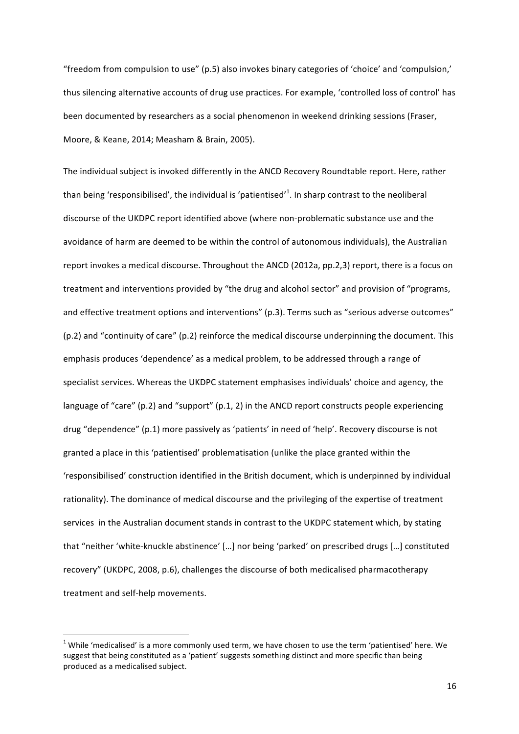"freedom from compulsion to use" (p.5) also invokes binary categories of 'choice' and 'compulsion,' thus silencing alternative accounts of drug use practices. For example, 'controlled loss of control' has been documented by researchers as a social phenomenon in weekend drinking sessions (Fraser, Moore, & Keane, 2014; Measham & Brain, 2005).

The individual subject is invoked differently in the ANCD Recovery Roundtable report. Here, rather than being 'responsibilised', the individual is 'patientised'<sup>1</sup>. In sharp contrast to the neoliberal discourse of the UKDPC report identified above (where non-problematic substance use and the avoidance of harm are deemed to be within the control of autonomous individuals), the Australian report invokes a medical discourse. Throughout the ANCD (2012a, pp.2,3) report, there is a focus on treatment and interventions provided by "the drug and alcohol sector" and provision of "programs, and effective treatment options and interventions" (p.3). Terms such as "serious adverse outcomes" (p.2) and "continuity of care" (p.2) reinforce the medical discourse underpinning the document. This emphasis produces 'dependence' as a medical problem, to be addressed through a range of specialist services. Whereas the UKDPC statement emphasises individuals' choice and agency, the language of "care" (p.2) and "support"  $(p.1, 2)$  in the ANCD report constructs people experiencing drug "dependence" (p.1) more passively as 'patients' in need of 'help'. Recovery discourse is not granted a place in this 'patientised' problematisation (unlike the place granted within the 'responsibilised' construction identified in the British document, which is underpinned by individual rationality). The dominance of medical discourse and the privileging of the expertise of treatment services in the Australian document stands in contrast to the UKDPC statement which, by stating that "neither 'white-knuckle abstinence' [...] nor being 'parked' on prescribed drugs [...] constituted recovery" (UKDPC, 2008, p.6), challenges the discourse of both medicalised pharmacotherapy treatment and self-help movements.

<u> 1989 - Jan Samuel Barbara, margaret e</u>

 $1$  While 'medicalised' is a more commonly used term, we have chosen to use the term 'patientised' here. We suggest that being constituted as a 'patient' suggests something distinct and more specific than being produced as a medicalised subject.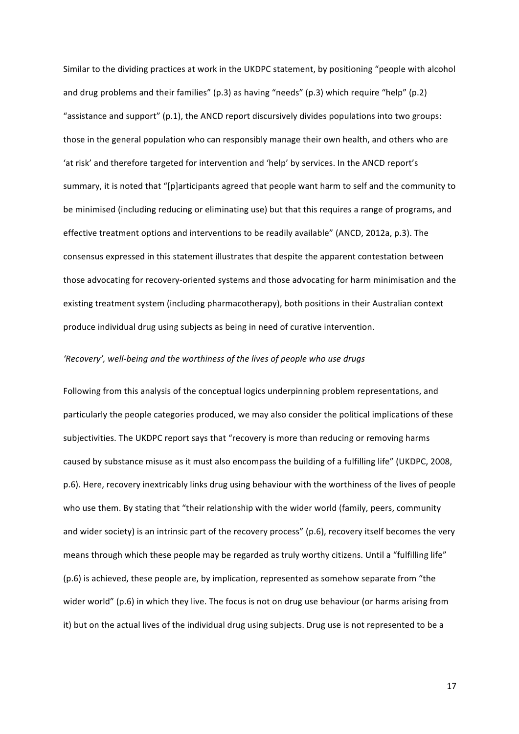Similar to the dividing practices at work in the UKDPC statement, by positioning "people with alcohol and drug problems and their families"  $(p.3)$  as having "needs"  $(p.3)$  which require "help"  $(p.2)$ "assistance and support"  $(p.1)$ , the ANCD report discursively divides populations into two groups: those in the general population who can responsibly manage their own health, and others who are 'at risk' and therefore targeted for intervention and 'help' by services. In the ANCD report's summary, it is noted that "[p]articipants agreed that people want harm to self and the community to be minimised (including reducing or eliminating use) but that this requires a range of programs, and effective treatment options and interventions to be readily available" (ANCD, 2012a, p.3). The consensus expressed in this statement illustrates that despite the apparent contestation between those advocating for recovery-oriented systems and those advocating for harm minimisation and the existing treatment system (including pharmacotherapy), both positions in their Australian context produce individual drug using subjects as being in need of curative intervention.

#### 'Recovery', well-being and the worthiness of the lives of people who use drugs

Following from this analysis of the conceptual logics underpinning problem representations, and particularly the people categories produced, we may also consider the political implications of these subjectivities. The UKDPC report says that "recovery is more than reducing or removing harms caused by substance misuse as it must also encompass the building of a fulfilling life" (UKDPC, 2008, p.6). Here, recovery inextricably links drug using behaviour with the worthiness of the lives of people who use them. By stating that "their relationship with the wider world (family, peers, community and wider society) is an intrinsic part of the recovery process" (p.6), recovery itself becomes the very means through which these people may be regarded as truly worthy citizens. Until a "fulfilling life"  $(p.6)$  is achieved, these people are, by implication, represented as somehow separate from "the wider world" (p.6) in which they live. The focus is not on drug use behaviour (or harms arising from it) but on the actual lives of the individual drug using subjects. Drug use is not represented to be a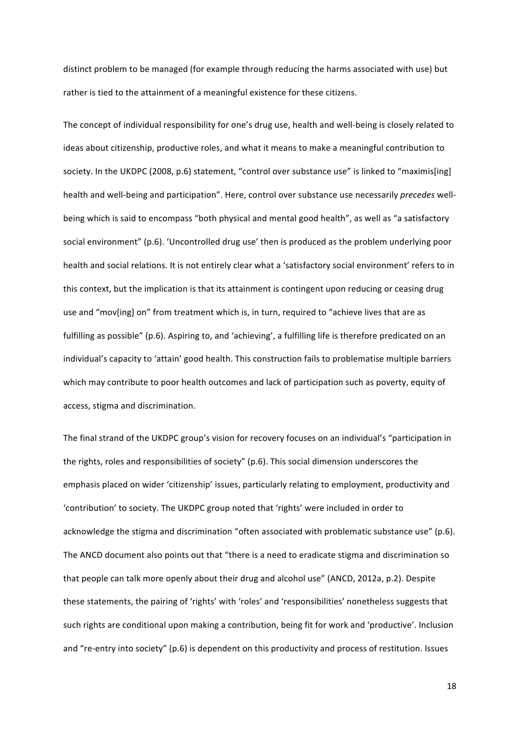distinct problem to be managed (for example through reducing the harms associated with use) but rather is tied to the attainment of a meaningful existence for these citizens.

The concept of individual responsibility for one's drug use, health and well-being is closely related to ideas about citizenship, productive roles, and what it means to make a meaningful contribution to society. In the UKDPC (2008, p.6) statement, "control over substance use" is linked to "maximis[ing] health and well-being and participation". Here, control over substance use necessarily *precedes* wellbeing which is said to encompass "both physical and mental good health", as well as "a satisfactory social environment" (p.6). 'Uncontrolled drug use' then is produced as the problem underlying poor health and social relations. It is not entirely clear what a 'satisfactory social environment' refers to in this context, but the implication is that its attainment is contingent upon reducing or ceasing drug use and "mov[ing] on" from treatment which is, in turn, required to "achieve lives that are as fulfilling as possible" (p.6). Aspiring to, and 'achieving', a fulfilling life is therefore predicated on an individual's capacity to 'attain' good health. This construction fails to problematise multiple barriers which may contribute to poor health outcomes and lack of participation such as poverty, equity of access, stigma and discrimination.

The final strand of the UKDPC group's vision for recovery focuses on an individual's "participation in the rights, roles and responsibilities of society" (p.6). This social dimension underscores the emphasis placed on wider 'citizenship' issues, particularly relating to employment, productivity and 'contribution' to society. The UKDPC group noted that 'rights' were included in order to acknowledge the stigma and discrimination "often associated with problematic substance use" (p.6). The ANCD document also points out that "there is a need to eradicate stigma and discrimination so that people can talk more openly about their drug and alcohol use" (ANCD, 2012a, p.2). Despite these statements, the pairing of 'rights' with 'roles' and 'responsibilities' nonetheless suggests that such rights are conditional upon making a contribution, being fit for work and 'productive'. Inclusion and "re-entry into society" (p.6) is dependent on this productivity and process of restitution. Issues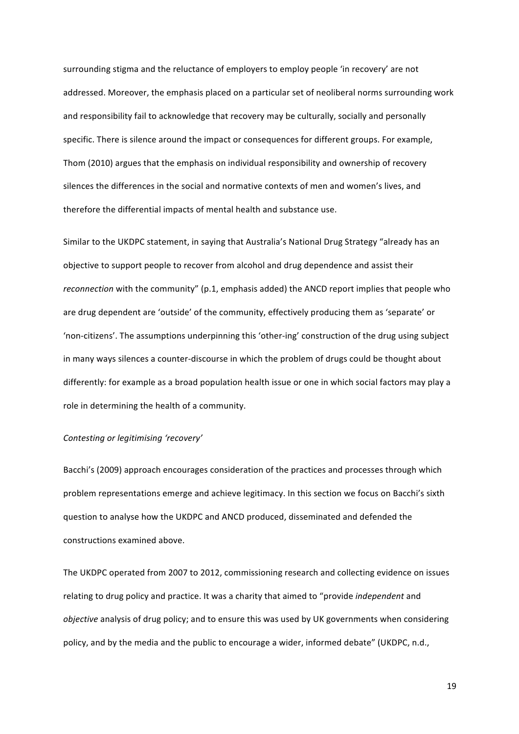surrounding stigma and the reluctance of employers to employ people 'in recovery' are not addressed. Moreover, the emphasis placed on a particular set of neoliberal norms surrounding work and responsibility fail to acknowledge that recovery may be culturally, socially and personally specific. There is silence around the impact or consequences for different groups. For example, Thom (2010) argues that the emphasis on individual responsibility and ownership of recovery silences the differences in the social and normative contexts of men and women's lives, and therefore the differential impacts of mental health and substance use.

Similar to the UKDPC statement, in saying that Australia's National Drug Strategy "already has an objective to support people to recover from alcohol and drug dependence and assist their *reconnection* with the community" (p.1, emphasis added) the ANCD report implies that people who are drug dependent are 'outside' of the community, effectively producing them as 'separate' or 'non-citizens'. The assumptions underpinning this 'other-ing' construction of the drug using subject in many ways silences a counter-discourse in which the problem of drugs could be thought about differently: for example as a broad population health issue or one in which social factors may play a role in determining the health of a community.

#### *Contesting or legitimising 'recovery'*

Bacchi's (2009) approach encourages consideration of the practices and processes through which problem representations emerge and achieve legitimacy. In this section we focus on Bacchi's sixth question to analyse how the UKDPC and ANCD produced, disseminated and defended the constructions examined above.

The UKDPC operated from 2007 to 2012, commissioning research and collecting evidence on issues relating to drug policy and practice. It was a charity that aimed to "provide *independent* and *objective* analysis of drug policy; and to ensure this was used by UK governments when considering policy, and by the media and the public to encourage a wider, informed debate" (UKDPC, n.d.,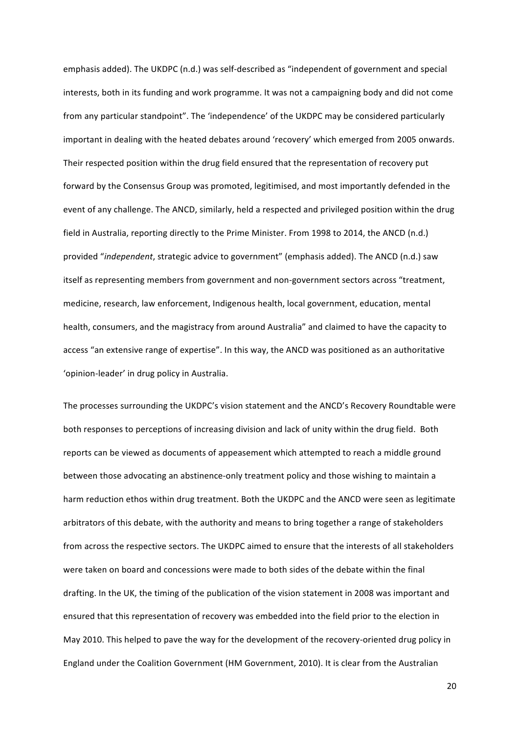emphasis added). The UKDPC (n.d.) was self-described as "independent of government and special interests, both in its funding and work programme. It was not a campaigning body and did not come from any particular standpoint". The 'independence' of the UKDPC may be considered particularly important in dealing with the heated debates around 'recovery' which emerged from 2005 onwards. Their respected position within the drug field ensured that the representation of recovery put forward by the Consensus Group was promoted, legitimised, and most importantly defended in the event of any challenge. The ANCD, similarly, held a respected and privileged position within the drug field in Australia, reporting directly to the Prime Minister. From 1998 to 2014, the ANCD (n.d.) provided "*independent*, strategic advice to government" (emphasis added). The ANCD (n.d.) saw itself as representing members from government and non-government sectors across "treatment, medicine, research, law enforcement, Indigenous health, local government, education, mental health, consumers, and the magistracy from around Australia" and claimed to have the capacity to access "an extensive range of expertise". In this way, the ANCD was positioned as an authoritative 'opinion-leader' in drug policy in Australia.

The processes surrounding the UKDPC's vision statement and the ANCD's Recovery Roundtable were both responses to perceptions of increasing division and lack of unity within the drug field. Both reports can be viewed as documents of appeasement which attempted to reach a middle ground between those advocating an abstinence-only treatment policy and those wishing to maintain a harm reduction ethos within drug treatment. Both the UKDPC and the ANCD were seen as legitimate arbitrators of this debate, with the authority and means to bring together a range of stakeholders from across the respective sectors. The UKDPC aimed to ensure that the interests of all stakeholders were taken on board and concessions were made to both sides of the debate within the final drafting. In the UK, the timing of the publication of the vision statement in 2008 was important and ensured that this representation of recovery was embedded into the field prior to the election in May 2010. This helped to pave the way for the development of the recovery-oriented drug policy in England under the Coalition Government (HM Government, 2010). It is clear from the Australian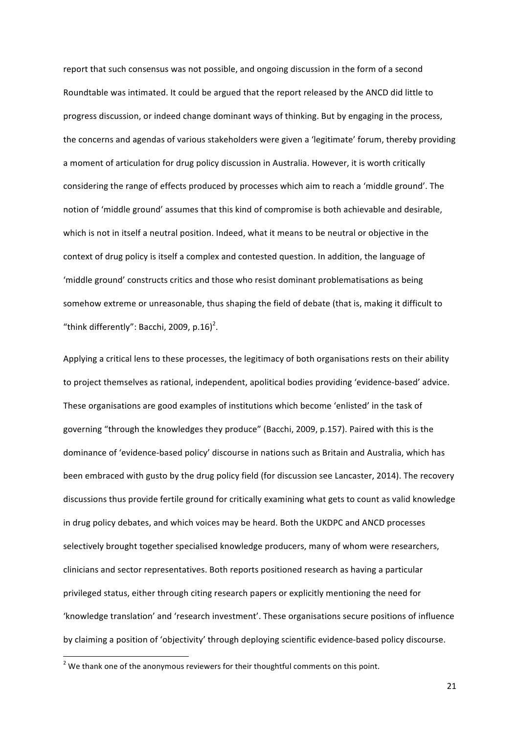report that such consensus was not possible, and ongoing discussion in the form of a second Roundtable was intimated. It could be argued that the report released by the ANCD did little to progress discussion, or indeed change dominant ways of thinking. But by engaging in the process, the concerns and agendas of various stakeholders were given a 'legitimate' forum, thereby providing a moment of articulation for drug policy discussion in Australia. However, it is worth critically considering the range of effects produced by processes which aim to reach a 'middle ground'. The notion of 'middle ground' assumes that this kind of compromise is both achievable and desirable, which is not in itself a neutral position. Indeed, what it means to be neutral or objective in the context of drug policy is itself a complex and contested question. In addition, the language of 'middle ground' constructs critics and those who resist dominant problematisations as being somehow extreme or unreasonable, thus shaping the field of debate (that is, making it difficult to "think differently": Bacchi, 2009, p.16)<sup>2</sup>.

Applying a critical lens to these processes, the legitimacy of both organisations rests on their ability to project themselves as rational, independent, apolitical bodies providing 'evidence-based' advice. These organisations are good examples of institutions which become 'enlisted' in the task of governing "through the knowledges they produce" (Bacchi, 2009, p.157). Paired with this is the dominance of 'evidence-based policy' discourse in nations such as Britain and Australia, which has been embraced with gusto by the drug policy field (for discussion see Lancaster, 2014). The recovery discussions thus provide fertile ground for critically examining what gets to count as valid knowledge in drug policy debates, and which voices may be heard. Both the UKDPC and ANCD processes selectively brought together specialised knowledge producers, many of whom were researchers, clinicians and sector representatives. Both reports positioned research as having a particular privileged status, either through citing research papers or explicitly mentioning the need for 'knowledge translation' and 'research investment'. These organisations secure positions of influence by claiming a position of 'objectivity' through deploying scientific evidence-based policy discourse.

 $^2$  We thank one of the anonymous reviewers for their thoughtful comments on this point.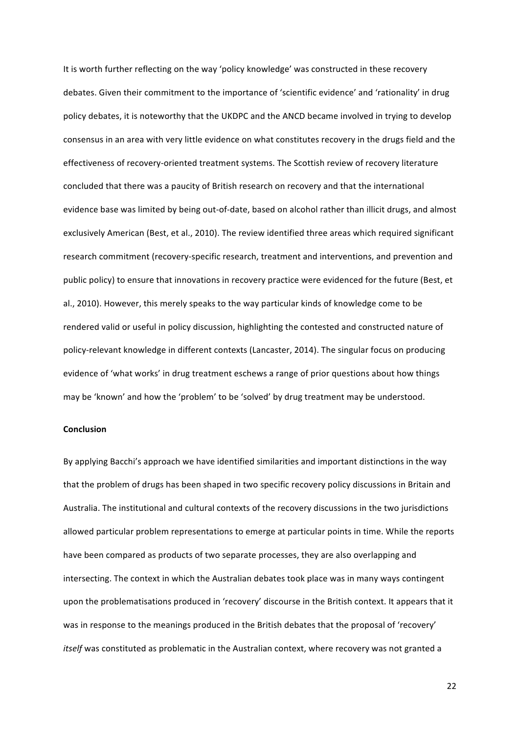It is worth further reflecting on the way 'policy knowledge' was constructed in these recovery debates. Given their commitment to the importance of 'scientific evidence' and 'rationality' in drug policy debates, it is noteworthy that the UKDPC and the ANCD became involved in trying to develop consensus in an area with very little evidence on what constitutes recovery in the drugs field and the effectiveness of recovery-oriented treatment systems. The Scottish review of recovery literature concluded that there was a paucity of British research on recovery and that the international evidence base was limited by being out-of-date, based on alcohol rather than illicit drugs, and almost exclusively American (Best, et al., 2010). The review identified three areas which required significant research commitment (recovery-specific research, treatment and interventions, and prevention and public policy) to ensure that innovations in recovery practice were evidenced for the future (Best, et al., 2010). However, this merely speaks to the way particular kinds of knowledge come to be rendered valid or useful in policy discussion, highlighting the contested and constructed nature of policy-relevant knowledge in different contexts (Lancaster, 2014). The singular focus on producing evidence of 'what works' in drug treatment eschews a range of prior questions about how things may be 'known' and how the 'problem' to be 'solved' by drug treatment may be understood.

#### **Conclusion**

By applying Bacchi's approach we have identified similarities and important distinctions in the way that the problem of drugs has been shaped in two specific recovery policy discussions in Britain and Australia. The institutional and cultural contexts of the recovery discussions in the two jurisdictions allowed particular problem representations to emerge at particular points in time. While the reports have been compared as products of two separate processes, they are also overlapping and intersecting. The context in which the Australian debates took place was in many ways contingent upon the problematisations produced in 'recovery' discourse in the British context. It appears that it was in response to the meanings produced in the British debates that the proposal of 'recovery' *itself* was constituted as problematic in the Australian context, where recovery was not granted a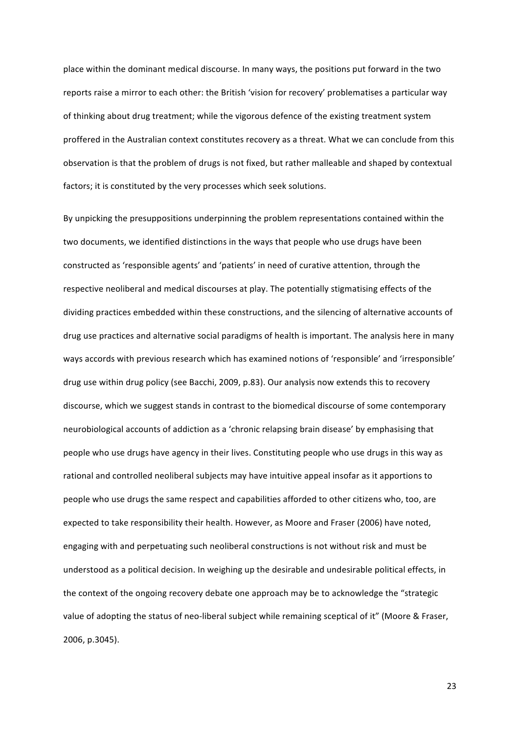place within the dominant medical discourse. In many ways, the positions put forward in the two reports raise a mirror to each other: the British 'vision for recovery' problematises a particular way of thinking about drug treatment; while the vigorous defence of the existing treatment system proffered in the Australian context constitutes recovery as a threat. What we can conclude from this observation is that the problem of drugs is not fixed, but rather malleable and shaped by contextual factors; it is constituted by the very processes which seek solutions.

By unpicking the presuppositions underpinning the problem representations contained within the two documents, we identified distinctions in the ways that people who use drugs have been constructed as 'responsible agents' and 'patients' in need of curative attention, through the respective neoliberal and medical discourses at play. The potentially stigmatising effects of the dividing practices embedded within these constructions, and the silencing of alternative accounts of drug use practices and alternative social paradigms of health is important. The analysis here in many ways accords with previous research which has examined notions of 'responsible' and 'irresponsible' drug use within drug policy (see Bacchi, 2009, p.83). Our analysis now extends this to recovery discourse, which we suggest stands in contrast to the biomedical discourse of some contemporary neurobiological accounts of addiction as a 'chronic relapsing brain disease' by emphasising that people who use drugs have agency in their lives. Constituting people who use drugs in this way as rational and controlled neoliberal subjects may have intuitive appeal insofar as it apportions to people who use drugs the same respect and capabilities afforded to other citizens who, too, are expected to take responsibility their health. However, as Moore and Fraser (2006) have noted, engaging with and perpetuating such neoliberal constructions is not without risk and must be understood as a political decision. In weighing up the desirable and undesirable political effects, in the context of the ongoing recovery debate one approach may be to acknowledge the "strategic value of adopting the status of neo-liberal subject while remaining sceptical of it" (Moore & Fraser, 2006, p.3045).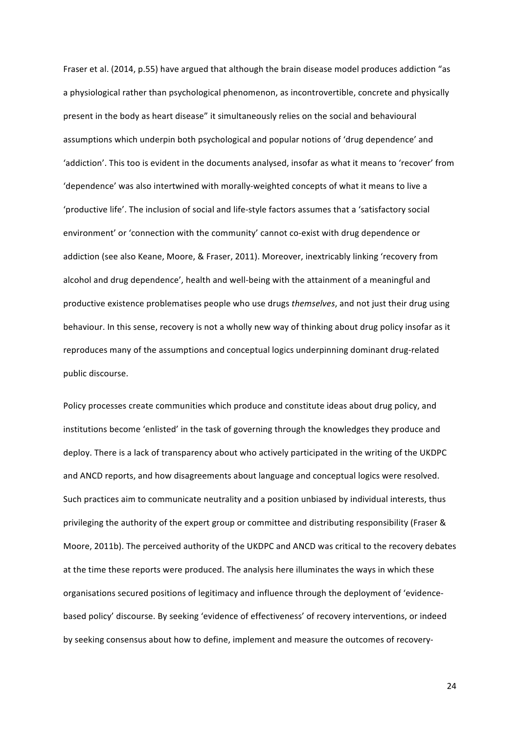Fraser et al. (2014, p.55) have argued that although the brain disease model produces addiction "as a physiological rather than psychological phenomenon, as incontrovertible, concrete and physically present in the body as heart disease" it simultaneously relies on the social and behavioural assumptions which underpin both psychological and popular notions of 'drug dependence' and 'addiction'. This too is evident in the documents analysed, insofar as what it means to 'recover' from 'dependence' was also intertwined with morally-weighted concepts of what it means to live a 'productive life'. The inclusion of social and life-style factors assumes that a 'satisfactory social environment' or 'connection with the community' cannot co-exist with drug dependence or addiction (see also Keane, Moore, & Fraser, 2011). Moreover, inextricably linking 'recovery from alcohol and drug dependence', health and well-being with the attainment of a meaningful and productive existence problematises people who use drugs *themselves*, and not just their drug using behaviour. In this sense, recovery is not a wholly new way of thinking about drug policy insofar as it reproduces many of the assumptions and conceptual logics underpinning dominant drug-related public discourse.

Policy processes create communities which produce and constitute ideas about drug policy, and institutions become 'enlisted' in the task of governing through the knowledges they produce and deploy. There is a lack of transparency about who actively participated in the writing of the UKDPC and ANCD reports, and how disagreements about language and conceptual logics were resolved. Such practices aim to communicate neutrality and a position unbiased by individual interests, thus privileging the authority of the expert group or committee and distributing responsibility (Fraser & Moore, 2011b). The perceived authority of the UKDPC and ANCD was critical to the recovery debates at the time these reports were produced. The analysis here illuminates the ways in which these organisations secured positions of legitimacy and influence through the deployment of 'evidencebased policy' discourse. By seeking 'evidence of effectiveness' of recovery interventions, or indeed by seeking consensus about how to define, implement and measure the outcomes of recovery-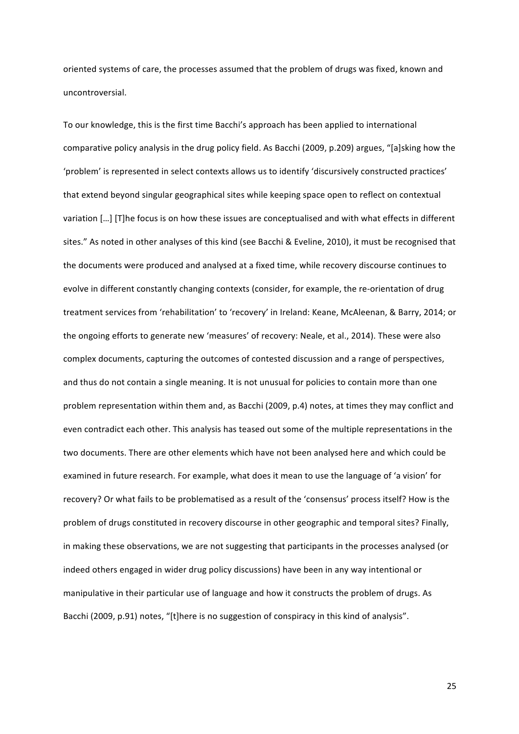oriented systems of care, the processes assumed that the problem of drugs was fixed, known and uncontroversial. 

To our knowledge, this is the first time Bacchi's approach has been applied to international comparative policy analysis in the drug policy field. As Bacchi (2009, p.209) argues, "[a]sking how the 'problem' is represented in select contexts allows us to identify 'discursively constructed practices' that extend beyond singular geographical sites while keeping space open to reflect on contextual variation [...] [T]he focus is on how these issues are conceptualised and with what effects in different sites." As noted in other analyses of this kind (see Bacchi & Eveline, 2010), it must be recognised that the documents were produced and analysed at a fixed time, while recovery discourse continues to evolve in different constantly changing contexts (consider, for example, the re-orientation of drug treatment services from 'rehabilitation' to 'recovery' in Ireland: Keane, McAleenan, & Barry, 2014; or the ongoing efforts to generate new 'measures' of recovery: Neale, et al., 2014). These were also complex documents, capturing the outcomes of contested discussion and a range of perspectives, and thus do not contain a single meaning. It is not unusual for policies to contain more than one problem representation within them and, as Bacchi (2009, p.4) notes, at times they may conflict and even contradict each other. This analysis has teased out some of the multiple representations in the two documents. There are other elements which have not been analysed here and which could be examined in future research. For example, what does it mean to use the language of 'a vision' for recovery? Or what fails to be problematised as a result of the 'consensus' process itself? How is the problem of drugs constituted in recovery discourse in other geographic and temporal sites? Finally, in making these observations, we are not suggesting that participants in the processes analysed (or indeed others engaged in wider drug policy discussions) have been in any way intentional or manipulative in their particular use of language and how it constructs the problem of drugs. As Bacchi (2009, p.91) notes, "[t]here is no suggestion of conspiracy in this kind of analysis".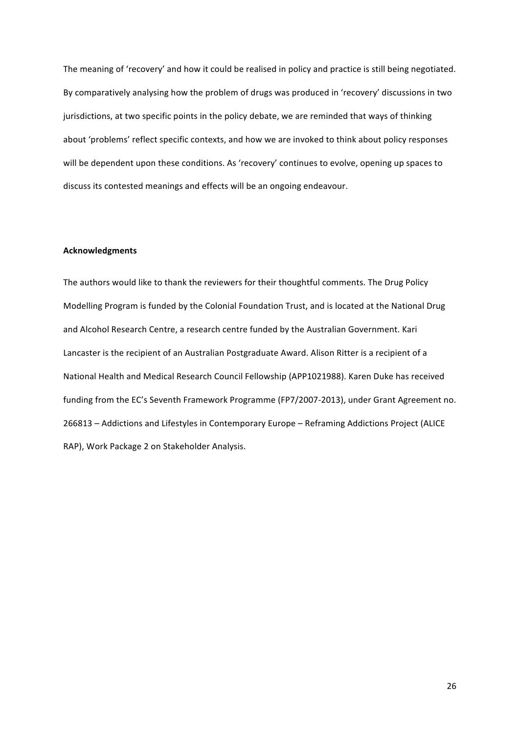The meaning of 'recovery' and how it could be realised in policy and practice is still being negotiated. By comparatively analysing how the problem of drugs was produced in 'recovery' discussions in two jurisdictions, at two specific points in the policy debate, we are reminded that ways of thinking about 'problems' reflect specific contexts, and how we are invoked to think about policy responses will be dependent upon these conditions. As 'recovery' continues to evolve, opening up spaces to discuss its contested meanings and effects will be an ongoing endeavour.

#### **Acknowledgments**

The authors would like to thank the reviewers for their thoughtful comments. The Drug Policy Modelling Program is funded by the Colonial Foundation Trust, and is located at the National Drug and Alcohol Research Centre, a research centre funded by the Australian Government. Kari Lancaster is the recipient of an Australian Postgraduate Award. Alison Ritter is a recipient of a National Health and Medical Research Council Fellowship (APP1021988). Karen Duke has received funding from the EC's Seventh Framework Programme (FP7/2007-2013), under Grant Agreement no. 266813 - Addictions and Lifestyles in Contemporary Europe - Reframing Addictions Project (ALICE RAP), Work Package 2 on Stakeholder Analysis.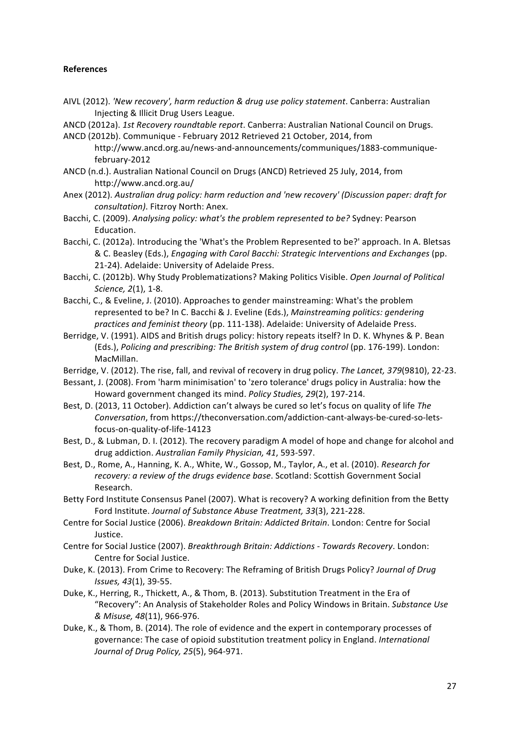### **References**

AIVL (2012). *'New recovery', harm reduction & drug use policy statement*. Canberra: Australian Injecting & Illicit Drug Users League.

ANCD (2012a). *1st Recovery roundtable report*. Canberra: Australian National Council on Drugs.

- ANCD (2012b). Communique February 2012 Retrieved 21 October, 2014, from http://www.ancd.org.au/news-and-announcements/communiques/1883-communiquefebruary-2012
- ANCD (n.d.). Australian National Council on Drugs (ANCD) Retrieved 25 July, 2014, from http://www.ancd.org.au/
- Anex (2012). Australian drug policy: harm reduction and 'new recovery' (Discussion paper: draft for *consultation*). Fitzroy North: Anex.
- Bacchi, C. (2009). Analysing policy: what's the problem represented to be? Sydney: Pearson Education.
- Bacchi, C. (2012a). Introducing the 'What's the Problem Represented to be?' approach. In A. Bletsas & C. Beasley (Eds.), *Engaging with Carol Bacchi: Strategic Interventions and Exchanges* (pp. 21-24). Adelaide: University of Adelaide Press.
- Bacchi, C. (2012b). Why Study Problematizations? Making Politics Visible. *Open Journal of Political Science, 2(1), 1-8.*
- Bacchi, C., & Eveline, J. (2010). Approaches to gender mainstreaming: What's the problem represented to be? In C. Bacchi & J. Eveline (Eds.), *Mainstreaming politics: gendering practices and feminist theory* (pp. 111-138). Adelaide: University of Adelaide Press.
- Berridge, V. (1991). AIDS and British drugs policy: history repeats itself? In D. K. Whynes & P. Bean (Eds.), Policing and prescribing: The British system of drug control (pp. 176-199). London: MacMillan.
- Berridge, V. (2012). The rise, fall, and revival of recovery in drug policy. The Lancet, 379(9810), 22-23.
- Bessant, J. (2008). From 'harm minimisation' to 'zero tolerance' drugs policy in Australia: how the Howard government changed its mind. *Policy Studies, 29*(2), 197-214.
- Best, D. (2013, 11 October). Addiction can't always be cured so let's focus on quality of life The *Conversation*, from https://theconversation.com/addiction-cant-always-be-cured-so-letsfocus-on-quality-of-life-14123
- Best, D., & Lubman, D. I. (2012). The recovery paradigm A model of hope and change for alcohol and drug addiction. Australian Family Physician, 41, 593-597.
- Best, D., Rome, A., Hanning, K. A., White, W., Gossop, M., Taylor, A., et al. (2010). *Research for recovery: a review of the drugs evidence base.* Scotland: Scottish Government Social Research.
- Betty Ford Institute Consensus Panel (2007). What is recovery? A working definition from the Betty Ford Institute. Journal of Substance Abuse Treatment, 33(3), 221-228.
- Centre for Social Justice (2006). *Breakdown Britain: Addicted Britain*. London: Centre for Social Justice.
- Centre for Social Justice (2007). *Breakthrough Britain: Addictions Towards Recovery*. London: Centre for Social Justice.
- Duke, K. (2013). From Crime to Recovery: The Reframing of British Drugs Policy? *Journal of Drug Issues, 43*(1), 39-55.
- Duke, K., Herring, R., Thickett, A., & Thom, B. (2013). Substitution Treatment in the Era of "Recovery": An Analysis of Stakeholder Roles and Policy Windows in Britain. Substance Use *& Misuse, 48*(11), 966-976.
- Duke, K., & Thom, B. (2014). The role of evidence and the expert in contemporary processes of governance: The case of opioid substitution treatment policy in England. *International Journal of Drug Policy, 25*(5), 964-971.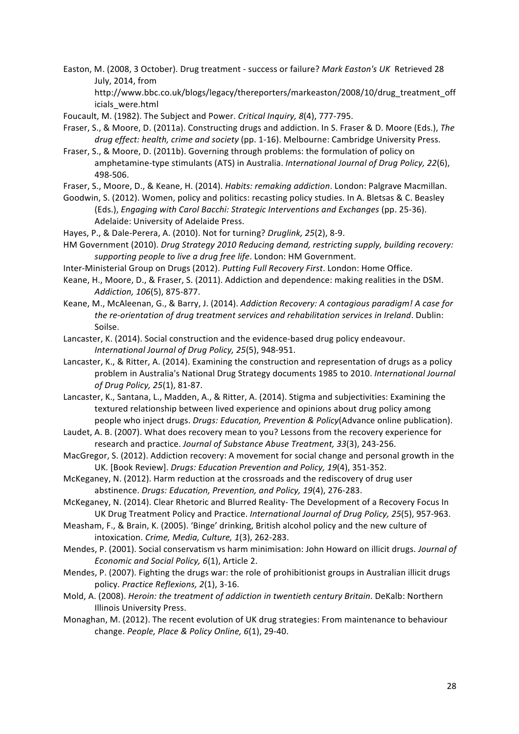Easton, M. (2008, 3 October). Drug treatment - success or failure? *Mark Easton's UK* Retrieved 28 July, 2014, from

http://www.bbc.co.uk/blogs/legacy/thereporters/markeaston/2008/10/drug\_treatment\_off icials\_were.html

- Foucault, M. (1982). The Subject and Power. *Critical Inquiry, 8*(4), 777-795.
- Fraser, S., & Moore, D. (2011a). Constructing drugs and addiction. In S. Fraser & D. Moore (Eds.), The drug effect: health, crime and society (pp. 1-16). Melbourne: Cambridge University Press.
- Fraser, S., & Moore, D. (2011b). Governing through problems: the formulation of policy on amphetamine-type stimulants (ATS) in Australia. *International Journal of Drug Policy, 22(6)*, 498-506.
- Fraser, S., Moore, D., & Keane, H. (2014). *Habits: remaking addiction*. London: Palgrave Macmillan.
- Goodwin, S. (2012). Women, policy and politics: recasting policy studies. In A. Bletsas & C. Beasley (Eds.), *Engaging with Carol Bacchi: Strategic Interventions and Exchanges* (pp. 25-36). Adelaide: University of Adelaide Press.
- Hayes, P., & Dale-Perera, A. (2010). Not for turning? *Druglink, 25*(2), 8-9.
- HM Government (2010). *Drug Strategy 2010 Reducing demand, restricting supply, building recovery:* supporting people to live a drug free life. London: HM Government.
- Inter-Ministerial Group on Drugs (2012). *Putting Full Recovery First*. London: Home Office.
- Keane, H., Moore, D., & Fraser, S. (2011). Addiction and dependence: making realities in the DSM. *Addiction, 106*(5), 875-877.
- Keane, M., McAleenan, G., & Barry, J. (2014). *Addiction Recovery: A contagious paradigm! A case for* the re-orientation of drug treatment services and rehabilitation services in Ireland. Dublin: Soilse.
- Lancaster, K. (2014). Social construction and the evidence-based drug policy endeavour. International Journal of Drug Policy, 25(5), 948-951.
- Lancaster, K., & Ritter, A. (2014). Examining the construction and representation of drugs as a policy problem in Australia's National Drug Strategy documents 1985 to 2010. *International Journal of Drug Policy, 25*(1), 81-87.
- Lancaster, K., Santana, L., Madden, A., & Ritter, A. (2014). Stigma and subjectivities: Examining the textured relationship between lived experience and opinions about drug policy among people who inject drugs. *Drugs: Education, Prevention & Policy*(Advance online publication).
- Laudet, A. B. (2007). What does recovery mean to you? Lessons from the recovery experience for research and practice. Journal of Substance Abuse Treatment, 33(3), 243-256.
- MacGregor, S. (2012). Addiction recovery: A movement for social change and personal growth in the UK. [Book Review]. *Drugs: Education Prevention and Policy, 19*(4), 351-352.
- McKeganey, N. (2012). Harm reduction at the crossroads and the rediscovery of drug user abstinence. *Drugs: Education, Prevention, and Policy, 19*(4), 276-283.
- McKeganey, N. (2014). Clear Rhetoric and Blurred Reality- The Development of a Recovery Focus In UK Drug Treatment Policy and Practice. International Journal of Drug Policy, 25(5), 957-963.
- Measham, F., & Brain, K. (2005). 'Binge' drinking, British alcohol policy and the new culture of intoxication. Crime, Media, Culture, 1(3), 262-283.
- Mendes, P. (2001). Social conservatism vs harm minimisation: John Howard on illicit drugs. *Journal of Economic and Social Policy, 6*(1), Article 2.
- Mendes, P. (2007). Fighting the drugs war: the role of prohibitionist groups in Australian illicit drugs policy. Practice Reflexions, 2(1), 3-16.
- Mold, A. (2008). *Heroin: the treatment of addiction in twentieth century Britain*. DeKalb: Northern **Illinois University Press.**
- Monaghan, M. (2012). The recent evolution of UK drug strategies: From maintenance to behaviour change. People, Place & Policy Online, 6(1), 29-40.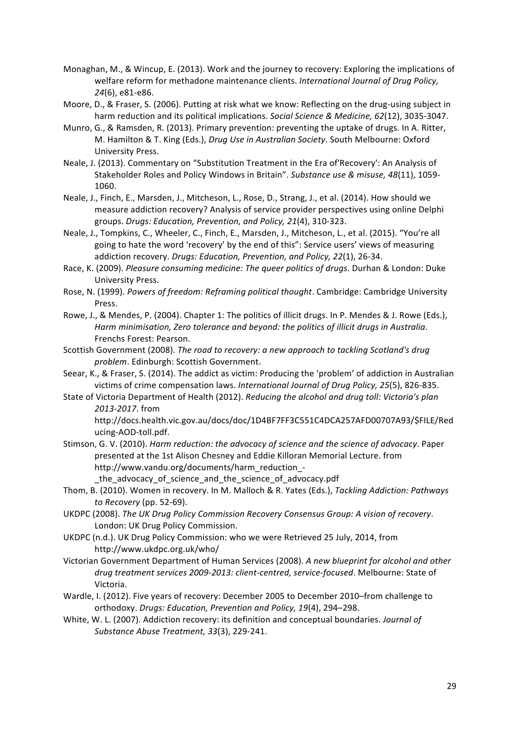- Monaghan, M., & Wincup, E. (2013). Work and the journey to recovery: Exploring the implications of welfare reform for methadone maintenance clients. *International Journal of Drug Policy*, *24*(6), e81-e86.
- Moore, D., & Fraser, S. (2006). Putting at risk what we know: Reflecting on the drug-using subject in harm reduction and its political implications. *Social Science & Medicine, 62*(12), 3035-3047.
- Munro, G., & Ramsden, R. (2013). Primary prevention: preventing the uptake of drugs. In A. Ritter, M. Hamilton & T. King (Eds.), *Drug Use in Australian Society*. South Melbourne: Oxford University Press.
- Neale, J. (2013). Commentary on "Substitution Treatment in the Era of Recovery': An Analysis of Stakeholder Roles and Policy Windows in Britain". Substance use & misuse, 48(11), 1059-1060.
- Neale, J., Finch, E., Marsden, J., Mitcheson, L., Rose, D., Strang, J., et al. (2014). How should we measure addiction recovery? Analysis of service provider perspectives using online Delphi groups. Drugs: Education, Prevention, and Policy, 21(4), 310-323.
- Neale, J., Tompkins, C., Wheeler, C., Finch, E., Marsden, J., Mitcheson, L., et al. (2015). "You're all going to hate the word 'recovery' by the end of this": Service users' views of measuring addiction recovery. *Drugs: Education, Prevention, and Policy, 22*(1), 26-34.
- Race, K. (2009). *Pleasure consuming medicine: The queer politics of drugs*. Durhan & London: Duke University Press.
- Rose, N. (1999). *Powers of freedom: Reframing political thought*. Cambridge: Cambridge University Press.
- Rowe, J., & Mendes, P. (2004). Chapter 1: The politics of illicit drugs. In P. Mendes & J. Rowe (Eds.), Harm minimisation, Zero tolerance and beyond: the politics of illicit drugs in Australia. Frenchs Forest: Pearson.
- Scottish Government (2008). The road to recovery: a new approach to tackling Scotland's drug problem. Edinburgh: Scottish Government.
- Seear, K., & Fraser, S. (2014). The addict as victim: Producing the 'problem' of addiction in Australian victims of crime compensation laws. *International Journal of Drug Policy, 25*(5), 826-835.
- State of Victoria Department of Health (2012). *Reducing the alcohol and drug toll: Victoria's plan 2013-2017*. from

http://docs.health.vic.gov.au/docs/doc/1D4BF7FF3C551C4DCA257AFD00707A93/\$FILE/Red ucing-AOD-toll.pdf.

Stimson, G. V. (2010). *Harm reduction: the advocacy of science and the science of advocacy*. Paper presented at the 1st Alison Chesney and Eddie Killoran Memorial Lecture. from http://www.vandu.org/documents/harm\_reduction\_-

the advocacy of science and the science of advocacy.pdf

- Thom, B. (2010). Women in recovery. In M. Malloch & R. Yates (Eds.), *Tackling Addiction: Pathways to Recovery* (pp. 52-69).
- UKDPC (2008). The UK Drug Policy Commission Recovery Consensus Group: A vision of recovery. London: UK Drug Policy Commission.
- UKDPC (n.d.). UK Drug Policy Commission: who we were Retrieved 25 July, 2014, from http://www.ukdpc.org.uk/who/
- Victorian Government Department of Human Services (2008). A new blueprint for alcohol and other drug treatment services 2009-2013: client-centred, service-focused. Melbourne: State of Victoria.
- Wardle, I. (2012). Five years of recovery: December 2005 to December 2010–from challenge to orthodoxy. *Drugs: Education, Prevention and Policy, 19*(4), 294-298.
- White, W. L. (2007). Addiction recovery: its definition and conceptual boundaries. *Journal of Substance Abuse Treatment, 33*(3), 229-241.